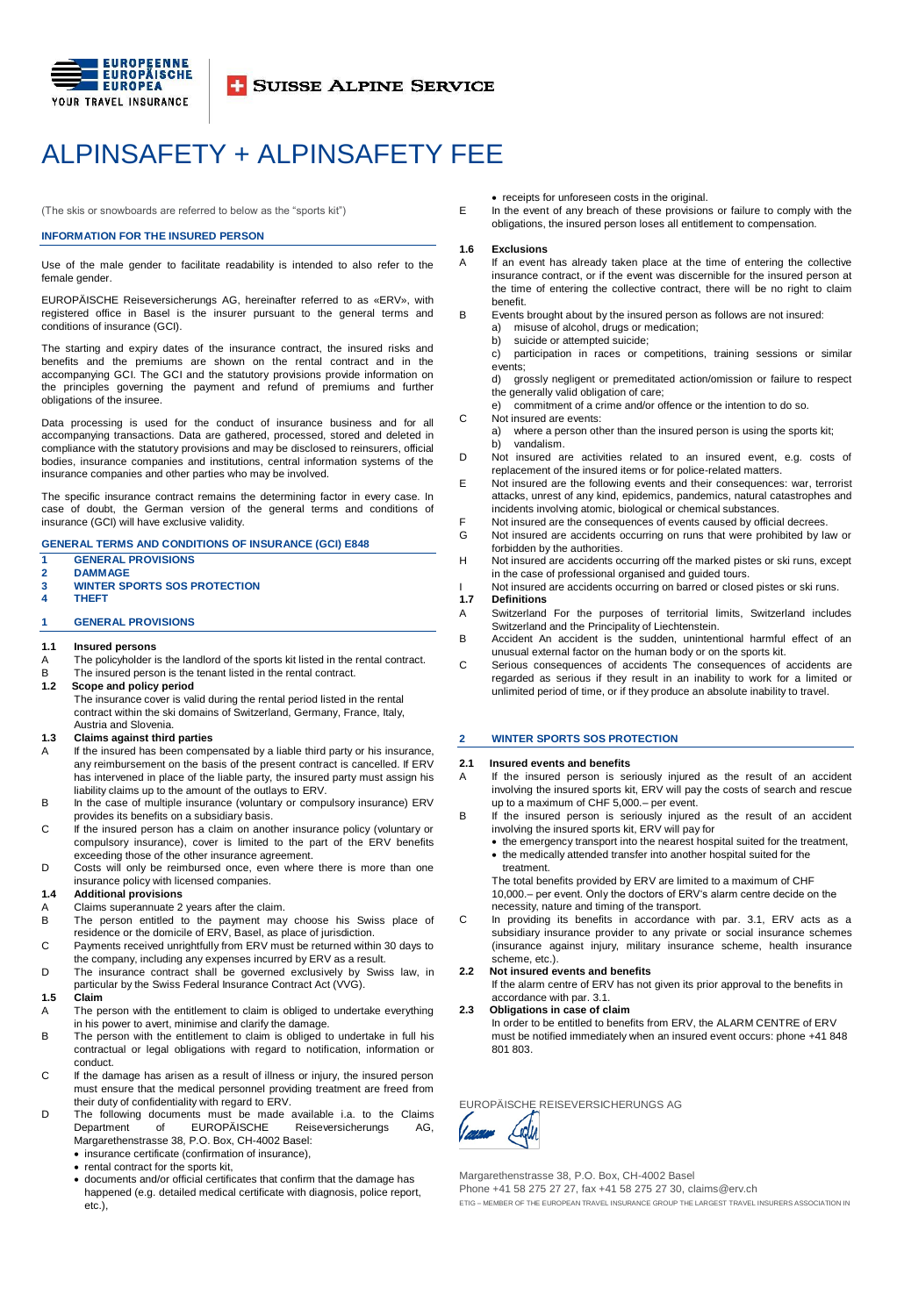

**T SUISSE ALPINE SERVICE** 

## ALPINSAFETY + ALPINSAFETY FEE

(The skis or snowboards are referred to below as the "sports kit")

## **INFORMATION FOR THE INSURED PERSON**

Use of the male gender to facilitate readability is intended to also refer to the female gender.

EUROPÄISCHE Reiseversicherungs AG, hereinafter referred to as «ERV», with registered office in Basel is the insurer pursuant to the general terms and conditions of insurance (GCI).

The starting and expiry dates of the insurance contract, the insured risks and benefits and the premiums are shown on the rental contract and in the accompanying GCI. The GCI and the statutory provisions provide information on the principles governing the payment and refund of premiums and further obligations of the insuree.

Data processing is used for the conduct of insurance business and for all accompanying transactions. Data are gathered, processed, stored and deleted in compliance with the statutory provisions and may be disclosed to reinsurers, official bodies, insurance companies and institutions, central information systems of the insurance companies and other parties who may be involved.

The specific insurance contract remains the determining factor in every case. In case of doubt, the German version of the general terms and conditions of insurance (GCI) will have exclusive validity.

## **GENERAL TERMS AND CONDITIONS OF INSURANCE (GCI) E848**

- **1 GENERAL PROVISIONS 2 DAMMAGE**
- **3 WINTER SPORTS SOS PROTECTION**
- **4 THEFT**

## **1 GENERAL PROVISIONS**

- **1.1 Insured persons**
- A The policyholder is the landlord of the sports kit listed in the rental contract.
- B The insured person is the tenant listed in the rental contract.<br>1.2 Scope and policy period
- **1.2 Scope and policy period** The insurance cover is valid during the rental period listed in the rental contract within the ski domains of Switzerland, Germany, France, Italy,

## Austria and Slovenia.

- **1.3 Claims against third parties**
- A If the insured has been compensated by a liable third party or his insurance, any reimbursement on the basis of the present contract is cancelled. If ERV has intervened in place of the liable party, the insured party must assign his liability claims up to the amount of the outlays to ERV.
- B In the case of multiple insurance (voluntary or compulsory insurance) ERV provides its benefits on a subsidiary basis.
- C If the insured person has a claim on another insurance policy (voluntary or compulsory insurance), cover is limited to the part of the ERV benefits exceeding those of the other insurance agreement.
- D Costs will only be reimbursed once, even where there is more than one insurance policy with licensed companies.

### **1.4 Additional provisions**

- Claims superannuate 2 years after the claim.
- B The person entitled to the payment may choose his Swiss place of residence or the domicile of ERV, Basel, as place of jurisdiction.
- C Payments received unrightfully from ERV must be returned within 30 days to the company, including any expenses incurred by ERV as a result.
- D The insurance contract shall be governed exclusively by Swiss law, in particular by the Swiss Federal Insurance Contract Act (VVG).

#### **1.5 Claim**

- A The person with the entitlement to claim is obliged to undertake everything in his power to avert, minimise and clarify the damage.
- B The person with the entitlement to claim is obliged to undertake in full his contractual or legal obligations with regard to notification, information or conduct.
- C If the damage has arisen as a result of illness or injury, the insured person must ensure that the medical personnel providing treatment are freed from their duty of confidentiality with regard to ERV.
- D The following documents must be made available i.a. to the Claims<br>Department of EUROPÄISCHE Reiseversicherungs AG, Department of EUROPÄISCHE Reiseversicherungs AG, Margarethenstrasse 38, P.O. Box, CH-4002 Basel:
	- insurance certificate (confirmation of insurance),
	- rental contract for the sports kit,
	- documents and/or official certificates that confirm that the damage has happened (e.g. detailed medical certificate with diagnosis, police report, etc.),
- receipts for unforeseen costs in the original.
- E In the event of any breach of these provisions or failure to comply with the obligations, the insured person loses all entitlement to compensation.

#### **1.6 Exclusions**

- A If an event has already taken place at the time of entering the collective insurance contract, or if the event was discernible for the insured person at the time of entering the collective contract, there will be no right to claim benefit.
- B Events brought about by the insured person as follows are not insured:
	- a) misuse of alcohol, drugs or medication;
	- b) suicide or attempted suicide;
	- c) participation in races or competitions, training sessions or similar events;
	- d) grossly negligent or premeditated action/omission or failure to respect the generally valid obligation of care;
		- e) commitment of a crime and/or offence or the intention to do so.
- C Not insured are events:
	- a) where a person other than the insured person is using the sports kit; b) vandalism.
- D Not insured are activities related to an insured event, e.g. costs of replacement of the insured items or for police-related matters.
- E Not insured are the following events and their consequences: war, terrorist attacks, unrest of any kind, epidemics, pandemics, natural catastrophes and
- incidents involving atomic, biological or chemical substances.
- F Not insured are the consequences of events caused by official decrees.<br>G Not insured are accidents occurring on runs that were prohibited by la Not insured are accidents occurring on runs that were prohibited by law or forbidden by the authorities.
- H Not insured are accidents occurring off the marked pistes or ski runs, except in the case of professional organised and guided tours.
- I Not insured are accidents occurring on barred or closed pistes or ski runs.<br>1.7 Definitions
- **1.7 Definitions**
- A Switzerland For the purposes of territorial limits, Switzerland includes Switzerland and the Principality of Liechtenstein.
- B Accident An accident is the sudden, unintentional harmful effect of an unusual external factor on the human body or on the sports kit.
- C Serious consequences of accidents The consequences of accidents are regarded as serious if they result in an inability to work for a limited or unlimited period of time, or if they produce an absolute inability to travel.

## **2 WINTER SPORTS SOS PROTECTION**

## **2.1 Insured events and benefits**

- A If the insured person is seriously injured as the result of an accident involving the insured sports kit, ERV will pay the costs of search and rescue up to a maximum of CHF 5,000.– per event.
- B If the insured person is seriously injured as the result of an accident involving the insured sports kit, ERV will pay for
	- the emergency transport into the nearest hospital suited for the treatment, the medically attended transfer into another hospital suited for the
	- treatment. The total benefits provided by ERV are limited to a maximum of CHF

10,000.– per event. Only the doctors of ERV's alarm centre decide on the necessity, nature and timing of the transport.

C In providing its benefits in accordance with par. 3.1, ERV acts as a subsidiary insurance provider to any private or social insurance schemes (insurance against injury, military insurance scheme, health insurance scheme, etc.).

## **2.2 Not insured events and benefits**

If the alarm centre of ERV has not given its prior approval to the benefits in accordance with par. 3.1.

#### **2.3 Obligations in case of claim**

In order to be entitled to benefits from ERV, the ALARM CENTRE of ERV must be notified immediately when an insured event occurs: phone +41 848 801 803.

EUROPÄISCHE REISEVERSICHERUNGS AG



Margarethenstrasse 38, P.O. Box, CH-4002 Basel

Phone +41 58 275 27 27, fax +41 58 275 27 30, claims@erv.ch

ETIG – MEMBER OF THE EUROPEAN TRAVEL INSURANCE GROUP THE LARGEST TRAVEL INSURERS ASSOCIATION IN